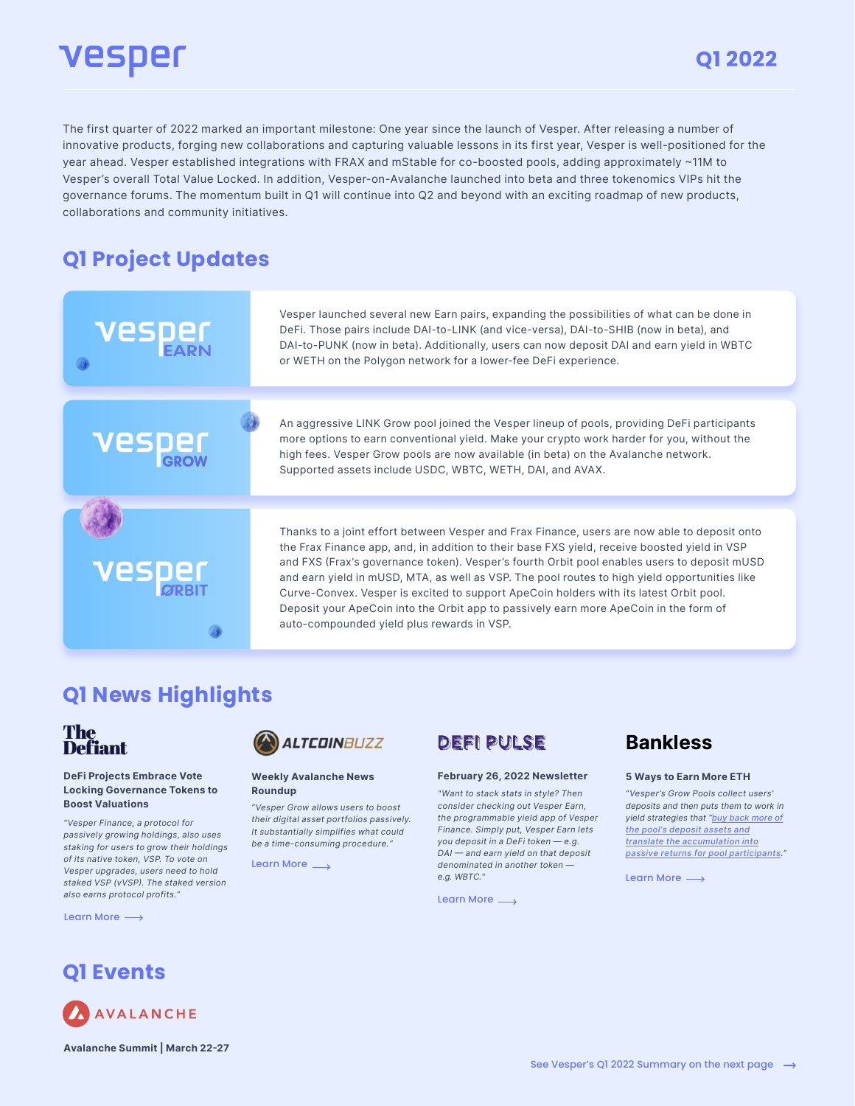# vesper

The first quarter of 2022 marked an important milestone: One year since the launch of Vesper. After releasing a number of innovative products, forging new collaborations and capturing valuable lessons in its first year, Vesper is well-positioned for the year ahead. Vesper established integrations with FRAX and mStable for co-boosted pools, adding approximately ~11M to Vesper's overall Total Value Locked. In addition, Vesper-on-Avalanche launched into beta and three tokenomics VIPs hit the governance forums. The momentum built in Q1 will continue into Q2 and beyond with an exciting roadmap of new products, collaborations and community initiatives.

### **Q1 Project Updates**

Vesper launched several new Earn pairs, expanding the possibilities of what can be done in DeFi. Those pairs include DAI-to-LINK (and vice-versa), DAI-to-SHIB (now in beta), and DAI-to-PUNK (now in beta). Additionally, users can now deposit DAI and earn yield in WBTC or WETH on the Polygon network for a lower-fee DeFi experience.

An aggressive LINK Grow pool joined the Vesper lineup of pools, providing DeFi participants more options to earn conventional yield. Make your crypto work harder for you, without the high fees. Vesper Grow pools are now available (in beta) on the Avalanche network. Supported assets include USDC, WBTC, WETH, DAI, and AVAX.

Thanks to a joint effort between Vesper and Frax Finance, users are now able to deposit onto the Frax Finance app, and, in addition to their base FXS yield, receive boosted yield in VSP and FXS (Frax's governance token). Vesper's fourth Orbit pool enables users to deposit mUSD and earn yield in mUSD, MTA, as well as VSP. The pool routes to high yield opportunities like Curve-Convex. Vesper is excited to support ApeCoin holders with its latest Orbit pool. Deposit your ApeCoin into the Orbit app to passively earn more ApeCoin in the form of auto-compounded yield plus rewards in VSP.

### **Q1 News Highlights**

۸



#### DeFi Projects Embrace Vote Locking Governance Tokens to Boost Valuations

"Vesper Finance, a protocol for passively growing holdings, also uses staking for users to grow their holdings of its native token, VSP. To vote on Vesper upgrades, users need to hold staked VSP (vVSP). The staked version also earns protocol profits."

[Learn More](https://thedefiant.io/votelocking-governance-tokens-curve/)  $\longrightarrow$ 



#### Weekly Avalanche News Roundup

"Vesper Grow allows users to boost their digital asset portfolios passively. It substantially simplifies what could be a time-consuming procedure."

[Learn More](https://www.altcoinbuzz.io/cryptocurrency-news/avalanche-update-avalanche-consumes-less-energy-than-ethereum/) <sub>→</sub>

### **DEFI PULSE**

#### February 26, 2022 Newsletter

"Want to stack stats in style? Then consider checking out Vesper Earn, the programmable yield app of Vesper Finance. Simply put, Vesper Earn lets you deposit in a DeFi token — e.g. DAI — and earn yield on that deposit denominated in another token e.g. WBTC."

[Learn More](https://yieldfarmer.substack.com/p/-earn-up-to-900-apy-via-starstream?utm_source=url)

### **Bankless**

#### 5 Ways to Earn More ETH

"Vesper's Grow Pools collect users' deposits and then puts them to work in yield strategies that "buy back more of the pool's deposit assets and translate the accumulation into passive returns for pool participants."

[Learn More](https://newsletter.banklesshq.com/p/5-ways-to-earn-more-eth?s=r)  $\longrightarrow$ 

### **Q1 Events**



Avalanche Summit | March 22-27